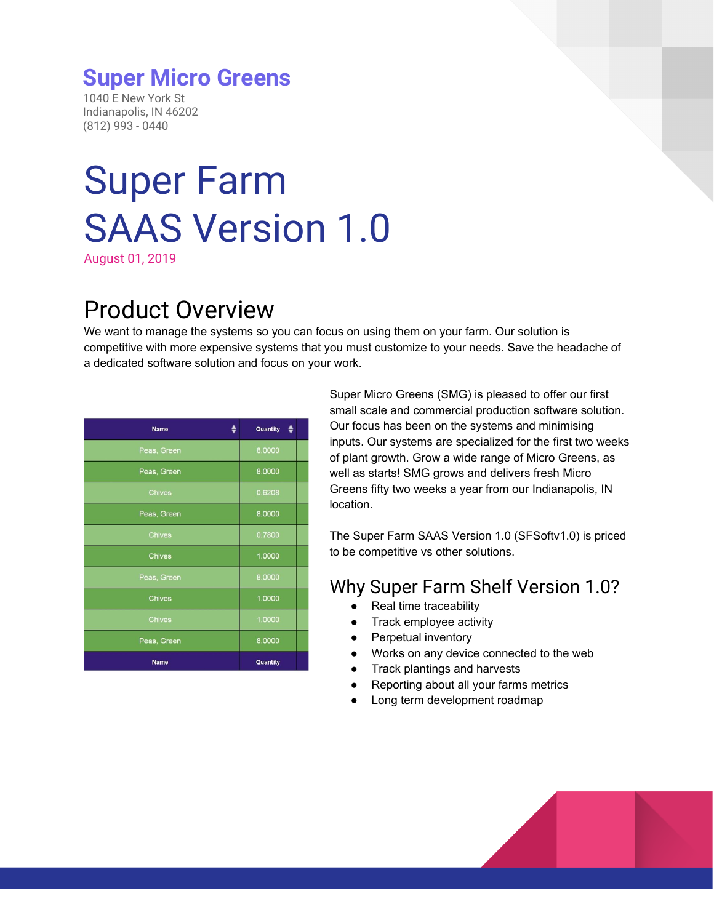### **Super Micro Greens**

1040 E New York St Indianapolis, IN 46202 (812) 993 - 0440

# Super Farm SAAS Version 1.0

August 01, 2019

# Product Overview

We want to manage the systems so you can focus on using them on your farm. Our solution is competitive with more expensive systems that you must customize to your needs. Save the headache of a dedicated software solution and focus on your work.

| <b>Name</b>   | Quantity |
|---------------|----------|
| Peas, Green   | 8.0000   |
| Peas, Green   | 8.0000   |
| <b>Chives</b> | 0.6208   |
| Peas, Green   | 8,0000   |
| <b>Chives</b> | 0.7800   |
| <b>Chives</b> | 1.0000   |
| Peas, Green   | 8.0000   |
| <b>Chives</b> | 1.0000   |
| <b>Chives</b> | 1.0000   |
| Peas, Green   | 8.0000   |
| <b>Name</b>   | Quantity |

Super Micro Greens (SMG) is pleased to offer our first small scale and commercial production software solution. Our focus has been on the systems and minimising inputs. Our systems are specialized for the first two weeks of plant growth. Grow a wide range of Micro Greens, as well as starts! SMG grows and delivers fresh Micro Greens fifty two weeks a year from our Indianapolis, IN location.

The Super Farm SAAS Version 1.0 (SFSoftv1.0) is priced to be competitive vs other solutions.

### Why Super Farm Shelf Version 1.0?

- Real time traceability
- Track employee activity
- Perpetual inventory
- Works on any device connected to the web
- Track plantings and harvests
- Reporting about all your farms metrics
- Long term development roadmap